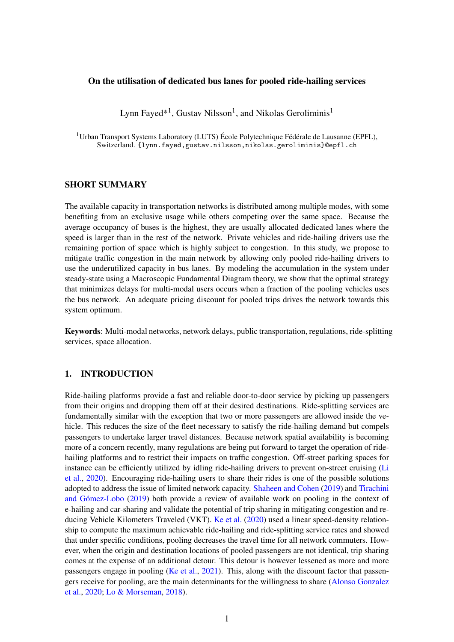### On the utilisation of dedicated bus lanes for pooled ride-hailing services

Lynn Fayed\*<sup>1</sup>, Gustav Nilsson<sup>1</sup>, and Nikolas Geroliminis<sup>1</sup>

<sup>1</sup>Urban Transport Systems Laboratory (LUTS) École Polytechnique Fédérale de Lausanne (EPFL), Switzerland. {lynn.fayed,gustav.nilsson,nikolas.geroliminis}@epfl.ch

# SHORT SUMMARY

The available capacity in transportation networks is distributed among multiple modes, with some benefiting from an exclusive usage while others competing over the same space. Because the average occupancy of buses is the highest, they are usually allocated dedicated lanes where the speed is larger than in the rest of the network. Private vehicles and ride-hailing drivers use the remaining portion of space which is highly subject to congestion. In this study, we propose to mitigate traffic congestion in the main network by allowing only pooled ride-hailing drivers to use the underutilized capacity in bus lanes. By modeling the accumulation in the system under steady-state using a Macroscopic Fundamental Diagram theory, we show that the optimal strategy that minimizes delays for multi-modal users occurs when a fraction of the pooling vehicles uses the bus network. An adequate pricing discount for pooled trips drives the network towards this system optimum.

Keywords: Multi-modal networks, network delays, public transportation, regulations, ride-splitting services, space allocation.

# 1. INTRODUCTION

Ride-hailing platforms provide a fast and reliable door-to-door service by picking up passengers from their origins and dropping them off at their desired destinations. Ride-splitting services are fundamentally similar with the exception that two or more passengers are allowed inside the vehicle. This reduces the size of the fleet necessary to satisfy the ride-hailing demand but compels passengers to undertake larger travel distances. Because network spatial availability is becoming more of a concern recently, many regulations are being put forward to target the operation of ridehailing platforms and to restrict their impacts on traffic congestion. Off-street parking spaces for instance can be efficiently utilized by idling ride-hailing drivers to prevent on-street cruising [\(Li](#page-9-0) [et al.,](#page-9-0) [2020\)](#page-9-0). Encouraging ride-hailing users to share their rides is one of the possible solutions adopted to address the issue of limited network capacity. [Shaheen and Cohen](#page-9-1) [\(2019\)](#page-9-1) and [Tirachini](#page-9-2) [and Gómez-Lobo](#page-9-2) [\(2019\)](#page-9-2) both provide a review of available work on pooling in the context of e-hailing and car-sharing and validate the potential of trip sharing in mitigating congestion and re-ducing Vehicle Kilometers Traveled (VKT). [Ke et al.](#page-9-3)  $(2020)$  used a linear speed-density relationship to compute the maximum achievable ride-hailing and ride-splitting service rates and showed that under specific conditions, pooling decreases the travel time for all network commuters. However, when the origin and destination locations of pooled passengers are not identical, trip sharing comes at the expense of an additional detour. This detour is however lessened as more and more passengers engage in pooling [\(Ke et al.,](#page-9-4) [2021\)](#page-9-4). This, along with the discount factor that passengers receive for pooling, are the main determinants for the willingness to share [\(Alonso Gonzalez](#page-9-5) [et al.,](#page-9-5) [2020;](#page-9-5) [Lo & Morseman,](#page-9-6) [2018\)](#page-9-6).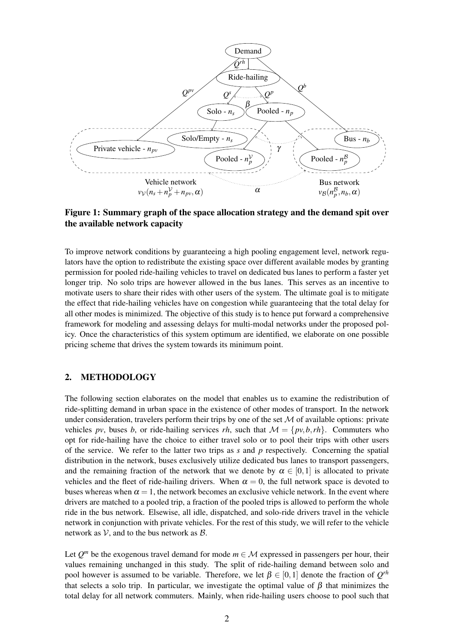<span id="page-1-0"></span>

Figure 1: Summary graph of the space allocation strategy and the demand spit over the available network capacity

To improve network conditions by guaranteeing a high pooling engagement level, network regulators have the option to redistribute the existing space over different available modes by granting permission for pooled ride-hailing vehicles to travel on dedicated bus lanes to perform a faster yet longer trip. No solo trips are however allowed in the bus lanes. This serves as an incentive to motivate users to share their rides with other users of the system. The ultimate goal is to mitigate the effect that ride-hailing vehicles have on congestion while guaranteeing that the total delay for all other modes is minimized. The objective of this study is to hence put forward a comprehensive framework for modeling and assessing delays for multi-modal networks under the proposed policy. Once the characteristics of this system optimum are identified, we elaborate on one possible pricing scheme that drives the system towards its minimum point.

# 2. METHODOLOGY

The following section elaborates on the model that enables us to examine the redistribution of ride-splitting demand in urban space in the existence of other modes of transport. In the network under consideration, travelers perform their trips by one of the set  $M$  of available options: private vehicles *pv*, buses *b*, or ride-hailing services *rh*, such that  $\mathcal{M} = \{pv, b, rh\}$ . Commuters who opt for ride-hailing have the choice to either travel solo or to pool their trips with other users of the service. We refer to the latter two trips as *s* and *p* respectively. Concerning the spatial distribution in the network, buses exclusively utilize dedicated bus lanes to transport passengers, and the remaining fraction of the network that we denote by  $\alpha \in [0,1]$  is allocated to private vehicles and the fleet of ride-hailing drivers. When  $\alpha = 0$ , the full network space is devoted to buses whereas when  $\alpha = 1$ , the network becomes an exclusive vehicle network. In the event where drivers are matched to a pooled trip, a fraction of the pooled trips is allowed to perform the whole ride in the bus network. Elsewise, all idle, dispatched, and solo-ride drivers travel in the vehicle network in conjunction with private vehicles. For the rest of this study, we will refer to the vehicle network as  $V$ , and to the bus network as  $\beta$ .

Let  $Q^m$  be the exogenous travel demand for mode  $m \in \mathcal{M}$  expressed in passengers per hour, their values remaining unchanged in this study. The split of ride-hailing demand between solo and pool however is assumed to be variable. Therefore, we let  $\beta \in [0,1]$  denote the fraction of  $Q^{rh}$ that selects a solo trip. In particular, we investigate the optimal value of  $β$  that minimizes the total delay for all network commuters. Mainly, when ride-hailing users choose to pool such that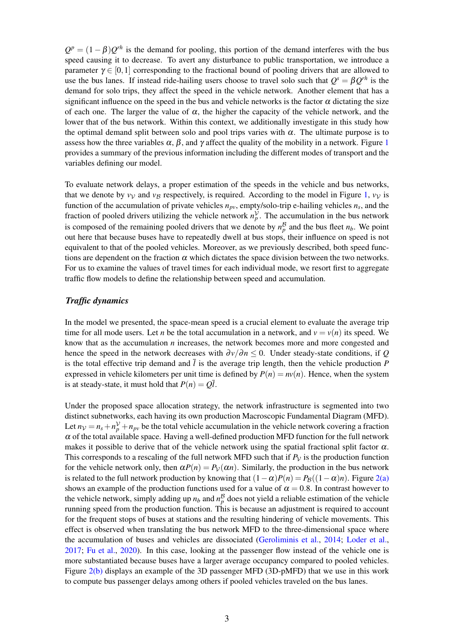$Q^p = (1 - \beta)Q^{rh}$  is the demand for pooling, this portion of the demand interferes with the bus speed causing it to decrease. To avert any disturbance to public transportation, we introduce a parameter  $\gamma \in [0,1]$  corresponding to the fractional bound of pooling drivers that are allowed to use the bus lanes. If instead ride-hailing users choose to travel solo such that  $Q^s = \beta Q^{rh}$  is the demand for solo trips, they affect the speed in the vehicle network. Another element that has a significant influence on the speed in the bus and vehicle networks is the factor  $\alpha$  dictating the size of each one. The larger the value of  $\alpha$ , the higher the capacity of the vehicle network, and the lower that of the bus network. Within this context, we additionally investigate in this study how the optimal demand split between solo and pool trips varies with  $\alpha$ . The ultimate purpose is to assess how the three variables  $\alpha$ ,  $\beta$ , and  $\gamma$  affect the quality of the mobility in a network. Figure [1](#page-1-0) provides a summary of the previous information including the different modes of transport and the variables defining our model.

To evaluate network delays, a proper estimation of the speeds in the vehicle and bus networks, that we denote by  $v<sub>V</sub>$  and  $v<sub>B</sub>$  respectively, is required. According to the model in Figure [1,](#page-1-0)  $v<sub>V</sub>$  is function of the accumulation of private vehicles *npv*, empty/solo-trip e-hailing vehicles *n<sup>s</sup>* , and the fraction of pooled drivers utilizing the vehicle network  $n_p^{\mathcal{V}}$ . The accumulation in the bus network is composed of the remaining pooled drivers that we denote by  $n_p^B$  and the bus fleet  $n_b$ . We point out here that because buses have to repeatedly dwell at bus stops, their influence on speed is not equivalent to that of the pooled vehicles. Moreover, as we previously described, both speed functions are dependent on the fraction  $\alpha$  which dictates the space division between the two networks. For us to examine the values of travel times for each individual mode, we resort first to aggregate traffic flow models to define the relationship between speed and accumulation.

## *Traffic dynamics*

In the model we presented, the space-mean speed is a crucial element to evaluate the average trip time for all mode users. Let *n* be the total accumulation in a network, and  $v = v(n)$  its speed. We know that as the accumulation *n* increases, the network becomes more and more congested and hence the speed in the network decreases with  $\frac{\partial v}{\partial n} \leq 0$ . Under steady-state conditions, if *Q* is the total effective trip demand and  $\overline{l}$  is the average trip length, then the vehicle production  $\overline{P}$ expressed in vehicle kilometers per unit time is defined by  $P(n) = nv(n)$ . Hence, when the system is at steady-state, it must hold that  $P(n) = Q\overline{l}$ .

Under the proposed space allocation strategy, the network infrastructure is segmented into two distinct subnetworks, each having its own production Macroscopic Fundamental Diagram (MFD). Let  $n_V = n_s + n_V^V + n_{pv}$  be the total vehicle accumulation in the vehicle network covering a fraction  $\alpha$  of the total available space. Having a well-defined production MFD function for the full network makes it possible to derive that of the vehicle network using the spatial fractional split factor  $\alpha$ . This corresponds to a rescaling of the full network MFD such that if  $P<sub>V</sub>$  is the production function for the vehicle network only, then  $\alpha P(n) = P_V(\alpha n)$ . Similarly, the production in the bus network is related to the full network production by knowing that  $(1 - \alpha)P(n) = P_B((1 - \alpha)n)$ . Figure [2\(a\)](#page-3-0) shows an example of the production functions used for a value of  $\alpha = 0.8$ . In contrast however to the vehicle network, simply adding up  $n_b$  and  $n_p^B$  does not yield a reliable estimation of the vehicle running speed from the production function. This is because an adjustment is required to account for the frequent stops of buses at stations and the resulting hindering of vehicle movements. This effect is observed when translating the bus network MFD to the three-dimensional space where the accumulation of buses and vehicles are dissociated [\(Geroliminis et al.,](#page-9-7) [2014;](#page-9-7) [Loder et al.,](#page-9-8) [2017;](#page-9-8) [Fu et al.,](#page-9-9) [2020\)](#page-9-9). In this case, looking at the passenger flow instead of the vehicle one is more substantiated because buses have a larger average occupancy compared to pooled vehicles. Figure [2\(b\)](#page-3-1) displays an example of the 3D passenger MFD (3D-pMFD) that we use in this work to compute bus passenger delays among others if pooled vehicles traveled on the bus lanes.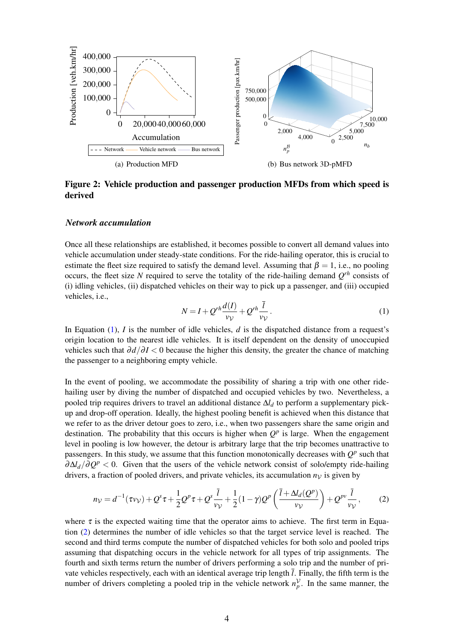<span id="page-3-0"></span>

Figure 2: Vehicle production and passenger production MFDs from which speed is derived

### *Network accumulation*

Once all these relationships are established, it becomes possible to convert all demand values into vehicle accumulation under steady-state conditions. For the ride-hailing operator, this is crucial to estimate the fleet size required to satisfy the demand level. Assuming that  $\beta = 1$ , i.e., no pooling occurs, the fleet size *N* required to serve the totality of the ride-hailing demand  $Q^{rh}$  consists of (i) idling vehicles, (ii) dispatched vehicles on their way to pick up a passenger, and (iii) occupied vehicles, i.e.,

<span id="page-3-2"></span><span id="page-3-1"></span>
$$
N = I + Q^{rh} \frac{d(I)}{v_{\mathcal{V}}} + Q^{rh} \frac{\bar{l}}{v_{\mathcal{V}}}.
$$
\n<sup>(1)</sup>

In Equation [\(1\)](#page-3-2), *I* is the number of idle vehicles, *d* is the dispatched distance from a request's origin location to the nearest idle vehicles. It is itself dependent on the density of unoccupied vehicles such that ∂*d*/∂ *I* < 0 because the higher this density, the greater the chance of matching the passenger to a neighboring empty vehicle.

In the event of pooling, we accommodate the possibility of sharing a trip with one other ridehailing user by diving the number of dispatched and occupied vehicles by two. Nevertheless, a pooled trip requires drivers to travel an additional distance ∆*l<sup>d</sup>* to perform a supplementary pickup and drop-off operation. Ideally, the highest pooling benefit is achieved when this distance that we refer to as the driver detour goes to zero, i.e., when two passengers share the same origin and destination. The probability that this occurs is higher when  $Q<sup>p</sup>$  is large. When the engagement level in pooling is low however, the detour is arbitrary large that the trip becomes unattractive to passengers. In this study, we assume that this function monotonically decreases with  $Q^p$  such that ∂∆*ld*/∂*Q <sup>p</sup>* < 0. Given that the users of the vehicle network consist of solo/empty ride-hailing drivers, a fraction of pooled drivers, and private vehicles, its accumulation  $n<sub>V</sub>$  is given by

<span id="page-3-3"></span>
$$
n_V = d^{-1}(\tau v_V) + Q^s \tau + \frac{1}{2} Q^p \tau + Q^s \frac{\bar{l}}{v_V} + \frac{1}{2} (1 - \gamma) Q^p \left( \frac{\bar{l} + \Delta l_d(Q^p)}{v_V} \right) + Q^{pv} \frac{\bar{l}}{v_V},\tag{2}
$$

where  $\tau$  is the expected waiting time that the operator aims to achieve. The first term in Equation [\(2\)](#page-3-3) determines the number of idle vehicles so that the target service level is reached. The second and third terms compute the number of dispatched vehicles for both solo and pooled trips assuming that dispatching occurs in the vehicle network for all types of trip assignments. The fourth and sixth terms return the number of drivers performing a solo trip and the number of private vehicles respectively, each with an identical average trip length  $\overline{l}$ . Finally, the fifth term is the number of drivers completing a pooled trip in the vehicle network  $n_p^{\gamma}$ . In the same manner, the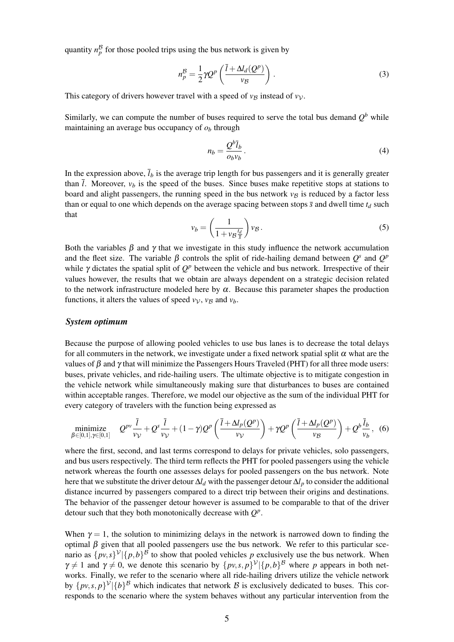quantity  $n_p^B$  for those pooled trips using the bus network is given by

$$
n_p^{\mathcal{B}} = \frac{1}{2} \gamma Q^p \left( \frac{\bar{l} + \Delta l_d(Q^p)}{v_{\mathcal{B}}} \right). \tag{3}
$$

This category of drivers however travel with a speed of  $v_B$  instead of  $v_V$ .

Similarly, we can compute the number of buses required to serve the total bus demand  $Q^b$  while maintaining an average bus occupancy of  $o<sub>b</sub>$  through

$$
n_b = \frac{Q^b \bar{l}_b}{o_b v_b}.
$$
\n<sup>(4)</sup>

In the expression above,  $\bar{l}_b$  is the average trip length for bus passengers and it is generally greater than  $\overline{l}$ . Moreover,  $v_b$  is the speed of the buses. Since buses make repetitive stops at stations to board and alight passengers, the running speed in the bus network  $v_B$  is reduced by a factor less than or equal to one which depends on the average spacing between stops  $\bar{s}$  and dwell time  $t_d$  such that

$$
v_b = \left(\frac{1}{1 + v_{\mathcal{B}}\frac{t_d}{\bar{s}}}\right)v_{\mathcal{B}}.\tag{5}
$$

Both the variables  $\beta$  and  $\gamma$  that we investigate in this study influence the network accumulation and the fleet size. The variable  $\beta$  controls the split of ride-hailing demand between  $Q^s$  and  $Q^p$ while  $\gamma$  dictates the spatial split of  $Q^p$  between the vehicle and bus network. Irrespective of their values however, the results that we obtain are always dependent on a strategic decision related to the network infrastructure modeled here by  $\alpha$ . Because this parameter shapes the production functions, it alters the values of speed  $v<sub>V</sub>$ ,  $v<sub>B</sub>$  and  $v<sub>b</sub>$ .

#### *System optimum*

Because the purpose of allowing pooled vehicles to use bus lanes is to decrease the total delays for all commuters in the network, we investigate under a fixed network spatial split  $\alpha$  what are the values of  $\beta$  and  $\gamma$  that will minimize the Passengers Hours Traveled (PHT) for all three mode users: buses, private vehicles, and ride-hailing users. The ultimate objective is to mitigate congestion in the vehicle network while simultaneously making sure that disturbances to buses are contained within acceptable ranges. Therefore, we model our objective as the sum of the individual PHT for every category of travelers with the function being expressed as

$$
\underset{\beta \in [0,1], \gamma \in [0,1]}{\text{minimize}} \quad Q^{pv} \frac{\bar{l}}{\nu_{\mathcal{V}}} + Q^s \frac{\bar{l}}{\nu_{\mathcal{V}}} + (1 - \gamma) Q^p \left( \frac{\bar{l} + \Delta l_p(Q^p)}{\nu_{\mathcal{V}}} \right) + \gamma Q^p \left( \frac{\bar{l} + \Delta l_p(Q^p)}{\nu_{\mathcal{B}}} \right) + Q^b \frac{\bar{l}_b}{\nu_b}, \tag{6}
$$

where the first, second, and last terms correspond to delays for private vehicles, solo passengers, and bus users respectively. The third term reflects the PHT for pooled passengers using the vehicle network whereas the fourth one assesses delays for pooled passengers on the bus network. Note here that we substitute the driver detour ∆*l<sup>d</sup>* with the passenger detour ∆*l<sup>p</sup>* to consider the additional distance incurred by passengers compared to a direct trip between their origins and destinations. The behavior of the passenger detour however is assumed to be comparable to that of the driver detour such that they both monotonically decrease with *Q p* .

When  $\gamma = 1$ , the solution to minimizing delays in the network is narrowed down to finding the optimal  $β$  given that all pooled passengers use the bus network. We refer to this particular scenario as  $\{pv, s\}^{\mathcal{V}} \vert \{p, b\}^{\mathcal{B}}$  to show that pooled vehicles *p* exclusively use the bus network. When  $\gamma \neq 1$  and  $\gamma \neq 0$ , we denote this scenario by  $\{p v, s, p\}^{\gamma} | \{p, b\}^{\beta}$  where *p* appears in both networks. Finally, we refer to the scenario where all ride-hailing drivers utilize the vehicle network by  $\{p v, s, p\}^{\mathcal{V}} \vert \{b\}^{\mathcal{B}}$  which indicates that network  $\mathcal{B}$  is exclusively dedicated to buses. This corresponds to the scenario where the system behaves without any particular intervention from the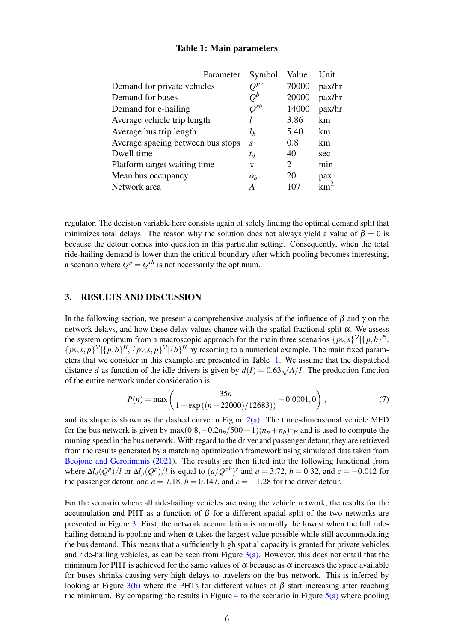<span id="page-5-0"></span>

| Parameter                         | Symbol             | Value                       | Unit             |
|-----------------------------------|--------------------|-----------------------------|------------------|
| Demand for private vehicles       | $O^{p\nu}$         | 70000                       | pax/hr           |
| Demand for buses                  | $Q^b$              | 20000                       | pax/hr           |
| Demand for e-hailing              | $\mathcal{Q}^{rh}$ | 14000                       | pax/hr           |
| Average vehicle trip length       |                    | 3.86                        | km               |
| Average bus trip length           | $l_h$              | 5.40                        | km               |
| Average spacing between bus stops | $\overline{s}$     | 0.8                         | km               |
| Dwell time                        | $t_d$              | 40                          | sec              |
| Platform target waiting time      | τ                  | $\mathcal{D}_{\mathcal{L}}$ | m <sub>1</sub> n |
| Mean bus occupancy                | $\mathfrak{o}_h$   | 20                          | pax              |
| Network area                      | A                  |                             | $km^2$           |

## Table 1: Main parameters

regulator. The decision variable here consists again of solely finding the optimal demand split that minimizes total delays. The reason why the solution does not always yield a value of  $\beta = 0$  is because the detour comes into question in this particular setting. Consequently, when the total ride-hailing demand is lower than the critical boundary after which pooling becomes interesting, a scenario where  $Q^p = Q^{rh}$  is not necessarily the optimum.

## 3. RESULTS AND DISCUSSION

In the following section, we present a comprehensive analysis of the influence of  $\beta$  and  $\gamma$  on the network delays, and how these delay values change with the spatial fractional split  $\alpha$ . We assess the system optimum from a macroscopic approach for the main three scenarios  $\{pv, s\}^{\mathcal{V}}|\{p, b\}^{\mathcal{B}},$  $\{p v, s, p\}^{\mathcal{V}} \vert \{p, b\}^{\mathcal{B}}, \{p v, s, p\}^{\mathcal{V}} \vert \{b\}^{\mathcal{B}}$  by resorting to a numerical example. The main fixed parameters that we consider in this example are presented in Table [1.](#page-5-0) We assume that the dispatched distance *d* as function of the idle drivers is given by  $d(I) = 0.63\sqrt{A/I}$ . The production function of the entire network under consideration is

$$
P(n) = \max\left(\frac{35n}{1 + \exp\left((n - 22000)/12683\right)} - 0.0001, 0\right),\tag{7}
$$

and its shape is shown as the dashed curve in Figure  $2(a)$ . The three-dimensional vehicle MFD for the bus network is given by max $(0.8, -0.2n_b/500+1)(n_p + n_b)v_B$  and is used to compute the running speed in the bus network. With regard to the driver and passenger detour, they are retrieved from the results generated by a matching optimization framework using simulated data taken from [Beojone and Geroliminis](#page-9-10) [\(2021\)](#page-9-10). The results are then fitted into the following functional from where  $\Delta l_d(Q^p)/\overline{l}$  or  $\Delta l_p(Q^p)/\overline{l}$  is equal to  $(a/Q^{pb})^c$  and  $a = 3.72$ ,  $b = 0.32$ , and  $c = -0.012$  for the passenger detour, and  $a = 7.18$ ,  $b = 0.147$ , and  $c = -1.28$  for the driver detour.

For the scenario where all ride-hailing vehicles are using the vehicle network, the results for the accumulation and PHT as a function of β for a different spatial split of the two networks are presented in Figure [3.](#page-6-0) First, the network accumulation is naturally the lowest when the full ridehailing demand is pooling and when  $\alpha$  takes the largest value possible while still accommodating the bus demand. This means that a sufficiently high spatial capacity is granted for private vehicles and ride-hailing vehicles, as can be seen from Figure  $3(a)$ . However, this does not entail that the minimum for PHT is achieved for the same values of  $\alpha$  because as  $\alpha$  increases the space available for buses shrinks causing very high delays to travelers on the bus network. This is inferred by looking at Figure [3\(b\)](#page-6-0) where the PHTs for different values of  $\beta$  start increasing after reaching the minimum. By comparing the results in Figure [4](#page-6-1) to the scenario in Figure  $5(a)$  where pooling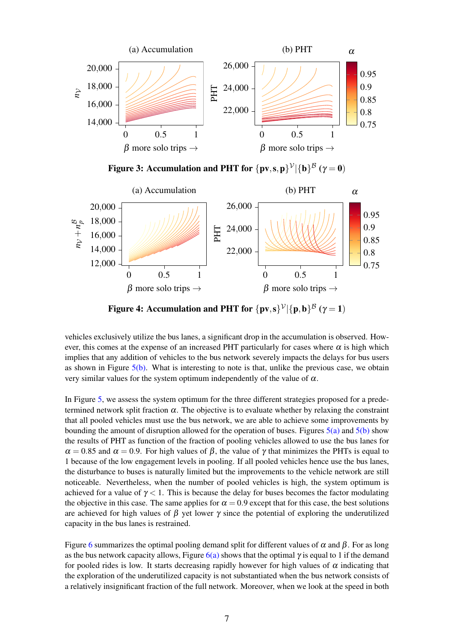<span id="page-6-0"></span>

Figure 3: Accumulation and PHT for  $\{pv, s, p\}^{\nu}|\{\mathbf{b}\}^{\mathcal{B}} (\gamma = 0)$ 

<span id="page-6-1"></span>

Figure 4: Accumulation and PHT for  $\{pv, s\}^{\mathcal{V}}|\{p, b\}^{\mathcal{B}} (\gamma = 1)$ 

vehicles exclusively utilize the bus lanes, a significant drop in the accumulation is observed. However, this comes at the expense of an increased PHT particularly for cases where  $\alpha$  is high which implies that any addition of vehicles to the bus network severely impacts the delays for bus users as shown in Figure  $5(b)$ . What is interesting to note is that, unlike the previous case, we obtain very similar values for the system optimum independently of the value of  $\alpha$ .

In Figure [5,](#page-7-0) we assess the system optimum for the three different strategies proposed for a predetermined network split fraction  $\alpha$ . The objective is to evaluate whether by relaxing the constraint that all pooled vehicles must use the bus network, we are able to achieve some improvements by bounding the amount of disruption allowed for the operation of buses. Figures  $5(a)$  and  $5(b)$  show the results of PHT as function of the fraction of pooling vehicles allowed to use the bus lanes for  $\alpha = 0.85$  and  $\alpha = 0.9$ . For high values of  $\beta$ , the value of  $\gamma$  that minimizes the PHTs is equal to 1 because of the low engagement levels in pooling. If all pooled vehicles hence use the bus lanes, the disturbance to buses is naturally limited but the improvements to the vehicle network are still noticeable. Nevertheless, when the number of pooled vehicles is high, the system optimum is achieved for a value of  $\gamma < 1$ . This is because the delay for buses becomes the factor modulating the objective in this case. The same applies for  $\alpha = 0.9$  except that for this case, the best solutions are achieved for high values of  $\beta$  yet lower  $\gamma$  since the potential of exploring the underutilized capacity in the bus lanes is restrained.

Figure [6](#page-7-1) summarizes the optimal pooling demand split for different values of  $\alpha$  and  $\beta$ . For as long as the bus network capacity allows, Figure [6\(a\)](#page-7-1) shows that the optimal  $\gamma$  is equal to 1 if the demand for pooled rides is low. It starts decreasing rapidly however for high values of  $\alpha$  indicating that the exploration of the underutilized capacity is not substantiated when the bus network consists of a relatively insignificant fraction of the full network. Moreover, when we look at the speed in both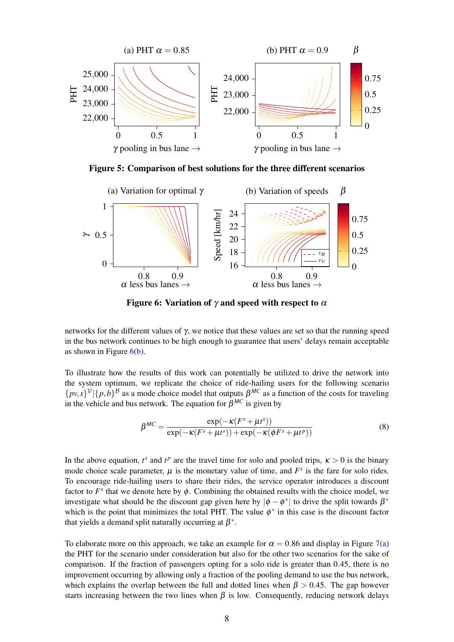<span id="page-7-0"></span>

Figure 5: Comparison of best solutions for the three different scenarios

<span id="page-7-1"></span>

Figure 6: Variation of  $\gamma$  and speed with respect to  $\alpha$ 

networks for the different values of γ, we notice that these values are set so that the running speed in the bus network continues to be high enough to guarantee that users' delays remain acceptable as shown in Figure  $6(b)$ .

To illustrate how the results of this work can potentially be utilized to drive the network into the system optimum, we replicate the choice of ride-hailing users for the following scenario  $\{p\nu, s\}^{\nu}$  | $\{p, b\}^{\beta}$  as a mode choice model that outputs  $\beta^{MC}$  as a function of the costs for traveling in the vehicle and bus network. The equation for  $\beta^{MC}$  is given by

$$
\beta^{MC} = \frac{\exp(-\kappa (F^s + \mu t^s))}{\exp(-\kappa (F^s + \mu t^s)) + \exp(-\kappa (\phi F^s + \mu t^p))}
$$
(8)

In the above equation,  $t^s$  and  $t^p$  are the travel time for solo and pooled trips,  $\kappa > 0$  is the binary mode choice scale parameter,  $\mu$  is the monetary value of time, and  $F^s$  is the fare for solo rides. To encourage ride-hailing users to share their rides, the service operator introduces a discount factor to  $F^s$  that we denote here by  $\phi$ . Combining the obtained results with the choice model, we investigate what should be the discount gap given here by  $|\phi - \phi^*|$  to drive the split towards  $\beta^*$ which is the point that minimizes the total PHT. The value  $\phi^*$  in this case is the discount factor that yields a demand split naturally occurring at  $\beta^*$ .

To elaborate more on this approach, we take an example for  $\alpha = 0.86$  and display in Figure [7\(a\)](#page-8-0) the PHT for the scenario under consideration but also for the other two scenarios for the sake of comparison. If the fraction of passengers opting for a solo ride is greater than 0.45, there is no improvement occurring by allowing only a fraction of the pooling demand to use the bus network, which explains the overlap between the full and dotted lines when  $\beta > 0.45$ . The gap however starts increasing between the two lines when  $\beta$  is low. Consequently, reducing network delays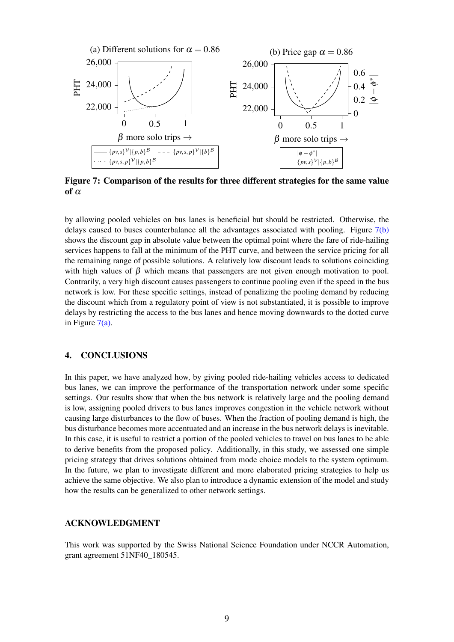<span id="page-8-0"></span>

Figure 7: Comparison of the results for three different strategies for the same value of  $\alpha$ 

by allowing pooled vehicles on bus lanes is beneficial but should be restricted. Otherwise, the delays caused to buses counterbalance all the advantages associated with pooling. Figure  $7(b)$ shows the discount gap in absolute value between the optimal point where the fare of ride-hailing services happens to fall at the minimum of the PHT curve, and between the service pricing for all the remaining range of possible solutions. A relatively low discount leads to solutions coinciding with high values of  $\beta$  which means that passengers are not given enough motivation to pool. Contrarily, a very high discount causes passengers to continue pooling even if the speed in the bus network is low. For these specific settings, instead of penalizing the pooling demand by reducing the discount which from a regulatory point of view is not substantiated, it is possible to improve delays by restricting the access to the bus lanes and hence moving downwards to the dotted curve in Figure  $7(a)$ .

# 4. CONCLUSIONS

In this paper, we have analyzed how, by giving pooled ride-hailing vehicles access to dedicated bus lanes, we can improve the performance of the transportation network under some specific settings. Our results show that when the bus network is relatively large and the pooling demand is low, assigning pooled drivers to bus lanes improves congestion in the vehicle network without causing large disturbances to the flow of buses. When the fraction of pooling demand is high, the bus disturbance becomes more accentuated and an increase in the bus network delays is inevitable. In this case, it is useful to restrict a portion of the pooled vehicles to travel on bus lanes to be able to derive benefits from the proposed policy. Additionally, in this study, we assessed one simple pricing strategy that drives solutions obtained from mode choice models to the system optimum. In the future, we plan to investigate different and more elaborated pricing strategies to help us achieve the same objective. We also plan to introduce a dynamic extension of the model and study how the results can be generalized to other network settings.

## ACKNOWLEDGMENT

This work was supported by the Swiss National Science Foundation under NCCR Automation, grant agreement 51NF40\_180545.